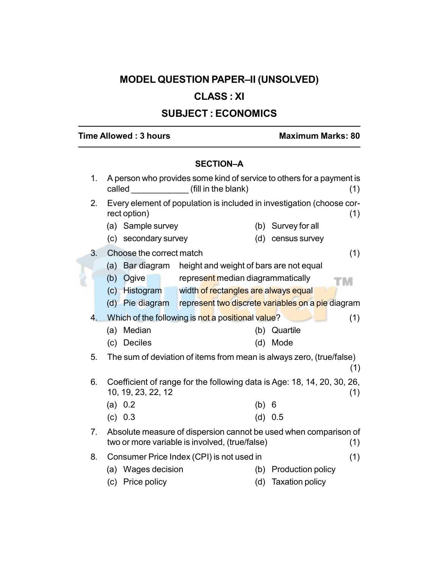# MODEL QUESTION PAPER–II (UNSOLVED)

## CLASS : XI

## SUBJECT : ECONOMICS

## Time Allowed : 3 hours Maximum Marks: 80

### SECTION–A

| 1.               | called                   | A person who provides some kind of service to others for a payment is<br>(fill in the blank) |     |                        | (1) |
|------------------|--------------------------|----------------------------------------------------------------------------------------------|-----|------------------------|-----|
| 2.               | rect option)             | Every element of population is included in investigation (choose cor-                        |     |                        | (1) |
|                  | Sample survey<br>(a)     |                                                                                              | (b) | Survey for all         |     |
|                  | (c) secondary survey     |                                                                                              | (d) | census survey          |     |
| 3.               | Choose the correct match |                                                                                              |     |                        | (1) |
|                  | (a)                      | Bar diagram height and weight of bars are not equal                                          |     |                        |     |
|                  | Ogive<br>(b)             | represent median diagrammatically                                                            |     |                        |     |
|                  |                          | (c) Histogram width of rectangles are always equal                                           |     |                        |     |
|                  | (d) Pie diagram          | represent two discrete variables on a pie diagram                                            |     |                        |     |
| $\overline{4}$ . |                          | Which of the following is not a positional value?                                            |     |                        | (1) |
|                  | Median<br>(a)            |                                                                                              | (b) | Quartile               |     |
|                  | <b>Deciles</b><br>(c)    |                                                                                              | (d) | Mode                   |     |
| 5.               |                          | The sum of deviation of items from mean is always zero, (true/false)                         |     |                        | (1) |
| 6.               | 10, 19, 23, 22, 12       | Coefficient of range for the following data is Age: 18, 14, 20, 30, 26,                      |     |                        | (1) |
|                  | (a) 0.2                  |                                                                                              | (b) | 6                      |     |
|                  | (c) 0.3                  |                                                                                              | (d) | 0.5                    |     |
| 7.               |                          | Absolute measure of dispersion cannot be used when comparison of                             |     |                        |     |
|                  |                          | two or more variable is involved, (true/false)                                               |     |                        | (1) |
| 8.               |                          | Consumer Price Index (CPI) is not used in                                                    |     |                        | (1) |
|                  | Wages decision<br>(a)    |                                                                                              | (b) | Production policy      |     |
|                  | Price policy<br>(c)      |                                                                                              | (d) | <b>Taxation policy</b> |     |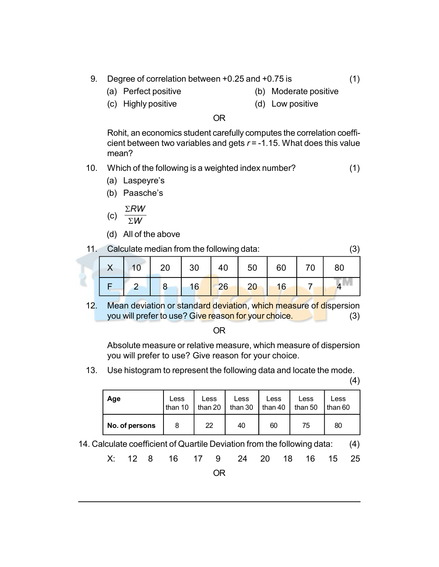- 9. Degree of correlation between +0.25 and +0.75 is (1)
	-
	- (a) Perfect positive (b) Moderate positive
	- (c) Highly positive (d) Low positive
- 

#### OR

Rohit, an economics student carefully computes the correlation coefficient between two variables and gets  $r = -1.15$ . What does this value mean?

- 10. Which of the following is a weighted index number? (1)
	- (a) Laspeyre's
	- (b) Paasche's
		- $\Sigma$ RW
	- (c)  $\Sigma W$
	- (d) All of the above
- 11. Calculate median from the following data: (3)

|  | $X$   10   20   30   40   50   60   70   80 |  |  |  |
|--|---------------------------------------------|--|--|--|
|  | 2 8 16 26 20 16 7 4                         |  |  |  |

12. Mean deviation or standard deviation, which measure of dispersion you will prefer to use? Give reason for your choice. (3)

| . .<br>×<br>×<br>۰,<br>w<br>۰. |
|--------------------------------|
|--------------------------------|

Absolute measure or relative measure, which measure of dispersion you will prefer to use? Give reason for your choice.

13. Use histogram to represent the following data and locate the mode.

(4)

| Age            | Less    | Less            | Less    | Less    | Less    | Less      |
|----------------|---------|-----------------|---------|---------|---------|-----------|
|                | than 10 | than 20 $\vert$ | than 30 | than 40 | than 50 | I than 60 |
| No. of persons | 8       | 22              | 40      | 60      | 75      | 80        |

14. Calculate coefficient of Quartile Deviation from the following data: (4)

|  | X: 12 8 16 17 9 24 20 18 16 15 25 |      |  |  |  |
|--|-----------------------------------|------|--|--|--|
|  |                                   | OR . |  |  |  |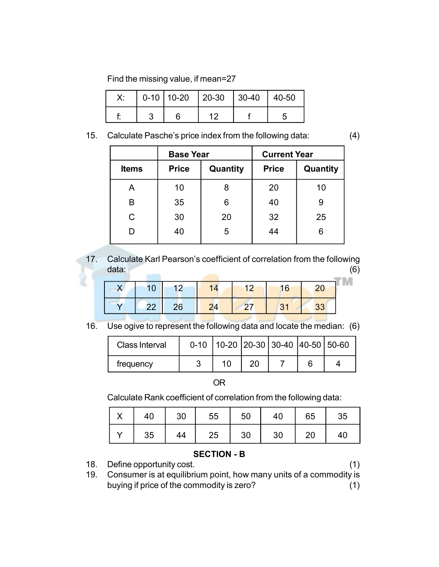Find the missing value, if mean=27

|  | $0-10$   10-20   20-30   30-40 | 40-50 |
|--|--------------------------------|-------|
|  |                                |       |

15. Calculate Pasche's price index from the following data: (4)

|              | <b>Base Year</b> |          | <b>Current Year</b> |          |  |
|--------------|------------------|----------|---------------------|----------|--|
| <b>Items</b> | <b>Price</b>     | Quantity | <b>Price</b>        | Quantity |  |
| Α            | 10               | 8        | 20                  | 10       |  |
| B            | 35               | 6        | 40                  | 9        |  |
| C            | 30               | 20       | 32                  | 25       |  |
| D            | 40               | 5        |                     | 6        |  |

17. Calculate Karl Pearson's coefficient of correlation from the following data: (6)

| 10 <sub>1</sub> | $\sqrt{12}$ | 12 <sub>1</sub> | 16          |  |
|-----------------|-------------|-----------------|-------------|--|
| 22 <sub>1</sub> | 26          | 27/             | $\sqrt{31}$ |  |

16. Use ogive to represent the following data and locate the median: (6)

| Class Interval |  |                | $0-10$   10-20   20-30   30-40   40-50   50-60 |  |
|----------------|--|----------------|------------------------------------------------|--|
| frequency      |  | 2 <sup>c</sup> |                                                |  |

#### OR

Calculate Rank coefficient of correlation from the following data:

|  | X   40   30   55   50   40   65   35 |  |  |
|--|--------------------------------------|--|--|
|  | Y   35   44   25   30   30   20   40 |  |  |

#### SECTION - B

18. Define opportunity cost. (1) 19. Consumer is at equilibrium point, how many units of a commodity is buying if price of the commodity is zero? (1)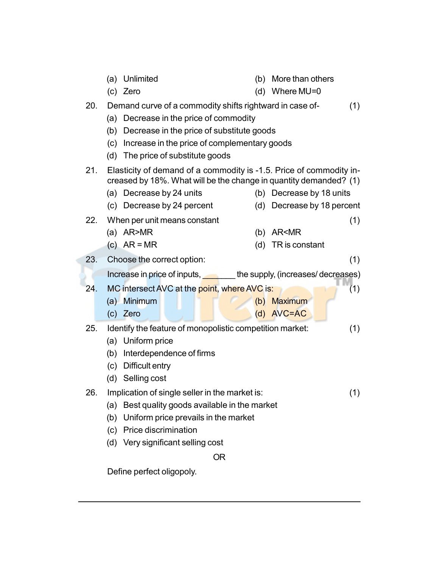|     | Unlimited<br>(a)                                                                                                                         | (b) More than others       |
|-----|------------------------------------------------------------------------------------------------------------------------------------------|----------------------------|
|     | (c) Zero                                                                                                                                 | (d) Where $MU=0$           |
| 20. | Demand curve of a commodity shifts rightward in case of-                                                                                 | (1)                        |
|     | (a) Decrease in the price of commodity                                                                                                   |                            |
|     | (b) Decrease in the price of substitute goods                                                                                            |                            |
|     | (c) Increase in the price of complementary goods                                                                                         |                            |
|     | (d) The price of substitute goods                                                                                                        |                            |
| 21. | Elasticity of demand of a commodity is -1.5. Price of commodity in-<br>creased by 18%. What will be the change in quantity demanded? (1) |                            |
|     | (a) Decrease by 24 units                                                                                                                 | (b) Decrease by 18 units   |
|     | Decrease by 24 percent<br>(c)                                                                                                            | (d) Decrease by 18 percent |
| 22. | When per unit means constant                                                                                                             | (1)                        |
|     | (a) $AR > MR$                                                                                                                            | (b) AR <mr< td=""></mr<>   |
|     | (c) $AR = MR$                                                                                                                            | (d) TR is constant         |
| 23. | Choose the correct option:                                                                                                               | (1)                        |
|     | Increase in price of inputs, the supply, (increases/decreases)                                                                           |                            |
| 24. | MC intersect AVC at the point, where AVC is:                                                                                             | (1)                        |
|     | (a) Minimum                                                                                                                              | (b) Maximum                |
|     | (c) Zero                                                                                                                                 | (d) AVC=AC                 |
| 25. | Identify the feature of monopolistic competition market:                                                                                 | (1)                        |
|     | (a) Uniform price                                                                                                                        |                            |
|     | Interdependence of firms<br>(b)                                                                                                          |                            |
|     | Difficult entry<br>(c)                                                                                                                   |                            |
|     | (d) Selling cost                                                                                                                         |                            |
| 26. | Implication of single seller in the market is:                                                                                           | (1)                        |
|     | (a) Best quality goods available in the market                                                                                           |                            |
|     | Uniform price prevails in the market<br>(b)                                                                                              |                            |
|     | (c) Price discrimination                                                                                                                 |                            |
|     | Very significant selling cost<br>(d)                                                                                                     |                            |
|     | <b>OR</b>                                                                                                                                |                            |
|     | Define perfect oligopoly.                                                                                                                |                            |